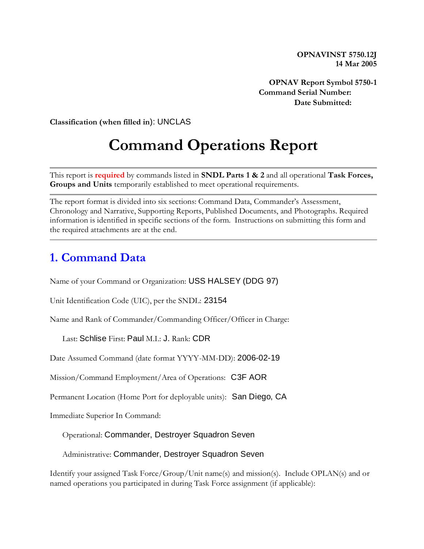**OPNAVINST 5750.12J 14 Mar 2005**

**OPNAV Report Symbol 5750-1 Command Serial Number: Date Submitted:** 

**Classification (when filled in**): UNCLAS

# **Command Operations Report**

This report is **required** by commands listed in **SNDL Parts 1 & 2** and all operational **Task Forces, Groups and Units** temporarily established to meet operational requirements.

The report format is divided into six sections: Command Data, Commander's Assessment, Chronology and Narrative, Supporting Reports, Published Documents, and Photographs. Required information is identified in specific sections of the form. Instructions on submitting this form and the required attachments are at the end.

#### **1. Command Data**

Name of your Command or Organization: USS HALSEY (DDG 97)

Unit Identification Code (UIC), per the SNDL: 23154

Name and Rank of Commander/Commanding Officer/Officer in Charge:

Last: Schlise First: Paul M.I.: J. Rank: CDR

Date Assumed Command (date format YYYY-MM-DD): 2006-02-19

Mission/Command Employment/Area of Operations: C3F AOR

Permanent Location (Home Port for deployable units): San Diego, CA

Immediate Superior In Command:

Operational: Commander, Destroyer Squadron Seven

Administrative: Commander, Destroyer Squadron Seven

Identify your assigned Task Force/Group/Unit name(s) and mission(s). Include OPLAN(s) and or named operations you participated in during Task Force assignment (if applicable):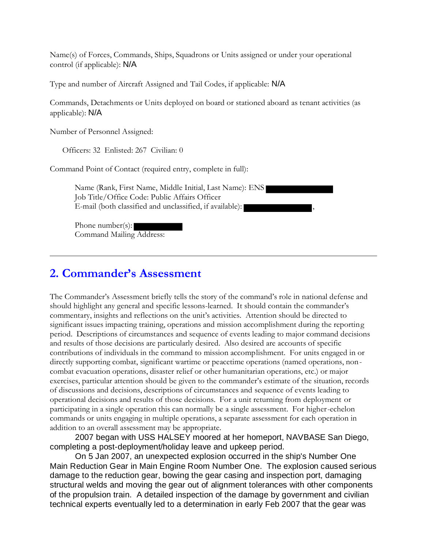Name(s) of Forces, Commands, Ships, Squadrons or Units assigned or under your operational control (if applicable): N/A

Type and number of Aircraft Assigned and Tail Codes, if applicable: N/A

Commands, Detachments or Units deployed on board or stationed aboard as tenant activities (as applicable): N/A

Number of Personnel Assigned:

Officers: 32 Enlisted: 267 Civilian: 0

Command Point of Contact (required entry, complete in full):

Name (Rank, First Name, Middle Initial, Last Name): ENS Job Title/Office Code: Public Affairs Officer E-mail (both classified and unclassified, if available):

Phone number(s): Command Mailing Address:

#### **2. Commander's Assessment**

The Commander's Assessment briefly tells the story of the command's role in national defense and should highlight any general and specific lessons-learned. It should contain the commander's commentary, insights and reflections on the unit's activities. Attention should be directed to significant issues impacting training, operations and mission accomplishment during the reporting period. Descriptions of circumstances and sequence of events leading to major command decisions and results of those decisions are particularly desired. Also desired are accounts of specific contributions of individuals in the command to mission accomplishment. For units engaged in or directly supporting combat, significant wartime or peacetime operations (named operations, noncombat evacuation operations, disaster relief or other humanitarian operations, etc.) or major exercises, particular attention should be given to the commander's estimate of the situation, records of discussions and decisions, descriptions of circumstances and sequence of events leading to operational decisions and results of those decisions. For a unit returning from deployment or participating in a single operation this can normally be a single assessment. For higher-echelon commands or units engaging in multiple operations, a separate assessment for each operation in addition to an overall assessment may be appropriate.

 2007 began with USS HALSEY moored at her homeport, NAVBASE San Diego, completing a post-deployment/holiday leave and upkeep period.

 On 5 Jan 2007, an unexpected explosion occurred in the ship's Number One Main Reduction Gear in Main Engine Room Number One. The explosion caused serious damage to the reduction gear, bowing the gear casing and inspection port, damaging structural welds and moving the gear out of alignment tolerances with other components of the propulsion train. A detailed inspection of the damage by government and civilian technical experts eventually led to a determination in early Feb 2007 that the gear was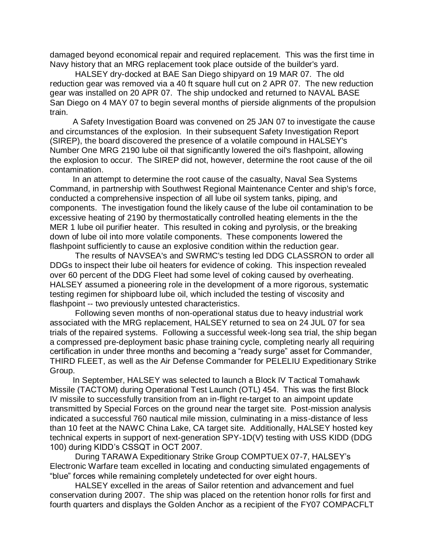damaged beyond economical repair and required replacement. This was the first time in Navy history that an MRG replacement took place outside of the builder's yard.

 HALSEY dry-docked at BAE San Diego shipyard on 19 MAR 07. The old reduction gear was removed via a 40 ft square hull cut on 2 APR 07. The new reduction gear was installed on 20 APR 07. The ship undocked and returned to NAVAL BASE San Diego on 4 MAY 07 to begin several months of pierside alignments of the propulsion train.

 A Safety Investigation Board was convened on 25 JAN 07 to investigate the cause and circumstances of the explosion. In their subsequent Safety Investigation Report (SIREP), the board discovered the presence of a volatile compound in HALSEY's Number One MRG 2190 lube oil that significantly lowered the oil's flashpoint, allowing the explosion to occur. The SIREP did not, however, determine the root cause of the oil contamination.

 In an attempt to determine the root cause of the casualty, Naval Sea Systems Command, in partnership with Southwest Regional Maintenance Center and ship's force, conducted a comprehensive inspection of all lube oil system tanks, piping, and components. The investigation found the likely cause of the lube oil contamination to be excessive heating of 2190 by thermostatically controlled heating elements in the the MER 1 lube oil purifier heater. This resulted in coking and pyrolysis, or the breaking down of lube oil into more volatile components. These components lowered the flashpoint sufficiently to cause an explosive condition within the reduction gear.

 The results of NAVSEA's and SWRMC's testing led DDG CLASSRON to order all DDGs to inspect their lube oil heaters for evidence of coking. This inspection revealed over 60 percent of the DDG Fleet had some level of coking caused by overheating. HALSEY assumed a pioneering role in the development of a more rigorous, systematic testing regimen for shipboard lube oil, which included the testing of viscosity and flashpoint -- two previously untested characteristics.

 Following seven months of non-operational status due to heavy industrial work associated with the MRG replacement, HALSEY returned to sea on 24 JUL 07 for sea trials of the repaired systems. Following a successful week-long sea trial, the ship began a compressed pre-deployment basic phase training cycle, completing nearly all requiring certification in under three months and becoming a "ready surge" asset for Commander, THIRD FLEET, as well as the Air Defense Commander for PELELIU Expeditionary Strike Group.

 In September, HALSEY was selected to launch a Block IV Tactical Tomahawk Missile (TACTOM) during Operational Test Launch (OTL) 454. This was the first Block IV missile to successfully transition from an in-flight re-target to an aimpoint update transmitted by Special Forces on the ground near the target site. Post-mission analysis indicated a successful 760 nautical mile mission, culminating in a miss-distance of less than 10 feet at the NAWC China Lake, CA target site. Additionally, HALSEY hosted key technical experts in support of next-generation SPY-1D(V) testing with USS KIDD (DDG 100) during KIDD's CSSQT in OCT 2007.

 During TARAWA Expeditionary Strike Group COMPTUEX 07-7, HALSEY's Electronic Warfare team excelled in locating and conducting simulated engagements of "blue" forces while remaining completely undetected for over eight hours.

 HALSEY excelled in the areas of Sailor retention and advancement and fuel conservation during 2007. The ship was placed on the retention honor rolls for first and fourth quarters and displays the Golden Anchor as a recipient of the FY07 COMPACFLT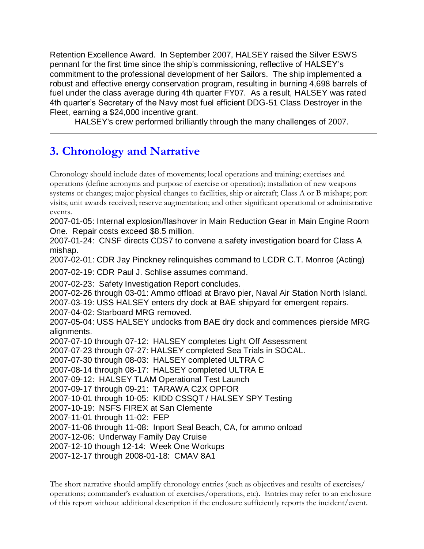Retention Excellence Award. In September 2007, HALSEY raised the Silver ESWS pennant for the first time since the ship's commissioning, reflective of HALSEY's commitment to the professional development of her Sailors. The ship implemented a robust and effective energy conservation program, resulting in burning 4,698 barrels of fuel under the class average during 4th quarter FY07. As a result, HALSEY was rated 4th quarter's Secretary of the Navy most fuel efficient DDG-51 Class Destroyer in the Fleet, earning a \$24,000 incentive grant.

HALSEY's crew performed brilliantly through the many challenges of 2007.

# **3. Chronology and Narrative**

Chronology should include dates of movements; local operations and training; exercises and operations (define acronyms and purpose of exercise or operation); installation of new weapons systems or changes; major physical changes to facilities, ship or aircraft; Class A or B mishaps; port visits; unit awards received; reserve augmentation; and other significant operational or administrative events.

2007-01-05: Internal explosion/flashover in Main Reduction Gear in Main Engine Room One. Repair costs exceed \$8.5 million.

2007-01-24: CNSF directs CDS7 to convene a safety investigation board for Class A mishap.

2007-02-01: CDR Jay Pinckney relinquishes command to LCDR C.T. Monroe (Acting)

2007-02-19: CDR Paul J. Schlise assumes command.

2007-02-23: Safety Investigation Report concludes.

2007-02-26 through 03-01: Ammo offload at Bravo pier, Naval Air Station North Island.

2007-03-19: USS HALSEY enters dry dock at BAE shipyard for emergent repairs.

2007-04-02: Starboard MRG removed.

2007-05-04: USS HALSEY undocks from BAE dry dock and commences pierside MRG alignments.

2007-07-10 through 07-12: HALSEY completes Light Off Assessment 2007-07-23 through 07-27: HALSEY completed Sea Trials in SOCAL. 2007-07-30 through 08-03: HALSEY completed ULTRA C 2007-08-14 through 08-17: HALSEY completed ULTRA E 2007-09-12: HALSEY TLAM Operational Test Launch 2007-09-17 through 09-21: TARAWA C2X OPFOR 2007-10-01 through 10-05: KIDD CSSQT / HALSEY SPY Testing 2007-10-19: NSFS FIREX at San Clemente 2007-11-01 through 11-02: FEP 2007-11-06 through 11-08: Inport Seal Beach, CA, for ammo onload 2007-12-06: Underway Family Day Cruise 2007-12-10 though 12-14: Week One Workups 2007-12-17 through 2008-01-18: CMAV 8A1

The short narrative should amplify chronology entries (such as objectives and results of exercises/ operations; commander's evaluation of exercises/operations, etc). Entries may refer to an enclosure of this report without additional description if the enclosure sufficiently reports the incident/event.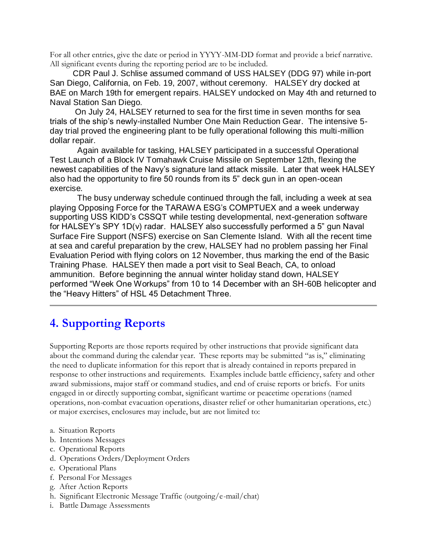For all other entries, give the date or period in YYYY-MM-DD format and provide a brief narrative. All significant events during the reporting period are to be included.

 CDR Paul J. Schlise assumed command of USS HALSEY (DDG 97) while in-port San Diego, California, on Feb. 19, 2007, without ceremony. HALSEY dry docked at BAE on March 19th for emergent repairs. HALSEY undocked on May 4th and returned to Naval Station San Diego.

 On July 24, HALSEY returned to sea for the first time in seven months for sea trials of the ship's newly-installed Number One Main Reduction Gear. The intensive 5 day trial proved the engineering plant to be fully operational following this multi-million dollar repair.

 Again available for tasking, HALSEY participated in a successful Operational Test Launch of a Block IV Tomahawk Cruise Missile on September 12th, flexing the newest capabilities of the Navy's signature land attack missile. Later that week HALSEY also had the opportunity to fire 50 rounds from its 5" deck gun in an open-ocean exercise.

 The busy underway schedule continued through the fall, including a week at sea playing Opposing Force for the TARAWA ESG's COMPTUEX and a week underway supporting USS KIDD's CSSQT while testing developmental, next-generation software for HALSEY's SPY 1D(v) radar. HALSEY also successfully performed a 5" gun Naval Surface Fire Support (NSFS) exercise on San Clemente Island. With all the recent time at sea and careful preparation by the crew, HALSEY had no problem passing her Final Evaluation Period with flying colors on 12 November, thus marking the end of the Basic Training Phase. HALSEY then made a port visit to Seal Beach, CA, to onload ammunition. Before beginning the annual winter holiday stand down, HALSEY performed "Week One Workups" from 10 to 14 December with an SH-60B helicopter and the "Heavy Hitters" of HSL 45 Detachment Three.

# **4. Supporting Reports**

Supporting Reports are those reports required by other instructions that provide significant data about the command during the calendar year. These reports may be submitted "as is," eliminating the need to duplicate information for this report that is already contained in reports prepared in response to other instructions and requirements. Examples include battle efficiency, safety and other award submissions, major staff or command studies, and end of cruise reports or briefs. For units engaged in or directly supporting combat, significant wartime or peacetime operations (named operations, non-combat evacuation operations, disaster relief or other humanitarian operations, etc.) or major exercises, enclosures may include, but are not limited to:

- a. Situation Reports
- b. Intentions Messages
- c. Operational Reports
- d. Operations Orders/Deployment Orders
- e. Operational Plans
- f. Personal For Messages
- g. After Action Reports
- h. Significant Electronic Message Traffic (outgoing/e-mail/chat)
- i. Battle Damage Assessments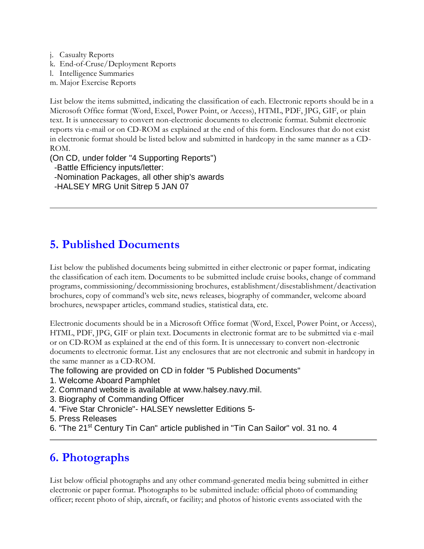- j. Casualty Reports
- k. End-of-Cruse/Deployment Reports
- l. Intelligence Summaries
- m. Major Exercise Reports

List below the items submitted, indicating the classification of each. Electronic reports should be in a Microsoft Office format (Word, Excel, Power Point, or Access), HTML, PDF, JPG, GIF, or plain text. It is unnecessary to convert non-electronic documents to electronic format. Submit electronic reports via e-mail or on CD-ROM as explained at the end of this form. Enclosures that do not exist in electronic format should be listed below and submitted in hardcopy in the same manner as a CD-ROM.

(On CD, under folder "4 Supporting Reports") -Battle Efficiency inputs/letter: -Nomination Packages, all other ship's awards -HALSEY MRG Unit Sitrep 5 JAN 07

### **5. Published Documents**

List below the published documents being submitted in either electronic or paper format, indicating the classification of each item. Documents to be submitted include cruise books, change of command programs, commissioning/decommissioning brochures, establishment/disestablishment/deactivation brochures, copy of command's web site, news releases, biography of commander, welcome aboard brochures, newspaper articles, command studies, statistical data, etc.

Electronic documents should be in a Microsoft Office format (Word, Excel, Power Point, or Access), HTML, PDF, JPG, GIF or plain text. Documents in electronic format are to be submitted via e -mail or on CD-ROM as explained at the end of this form. It is unnecessary to convert non-electronic documents to electronic format. List any enclosures that are not electronic and submit in hardcopy in the same manner as a CD-ROM.

The following are provided on CD in folder "5 Published Documents"

- 1. Welcome Aboard Pamphlet
- 2. Command website is available at www.halsey.navy.mil.
- 3. Biography of Commanding Officer
- 4. "Five Star Chronicle"- HALSEY newsletter Editions 5-
- 5. Press Releases
- 6. "The 21<sup>st</sup> Century Tin Can" article published in "Tin Can Sailor" vol. 31 no. 4

#### **6. Photographs**

List below official photographs and any other command-generated media being submitted in either electronic or paper format. Photographs to be submitted include: official photo of commanding officer; recent photo of ship, aircraft, or facility; and photos of historic events associated with the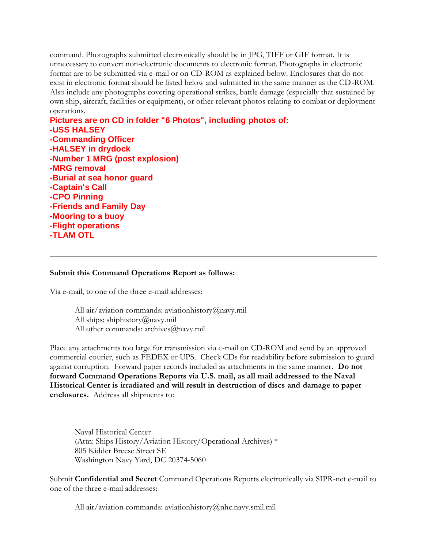command. Photographs submitted electronically should be in JPG, TIFF or GIF format. It is unnecessary to convert non-electronic documents to electronic format. Photographs in electronic format are to be submitted via e-mail or on CD-ROM as explained below. Enclosures that do not exist in electronic format should be listed below and submitted in the same manner as the CD-ROM. Also include any photographs covering operational strikes, battle damage (especially that sustained by own ship, aircraft, facilities or equipment), or other relevant photos relating to combat or deployment operations.

**Pictures are on CD in folder "6 Photos", including photos of: -USS HALSEY -Commanding Officer -HALSEY in drydock -Number 1 MRG (post explosion) -MRG removal -Burial at sea honor guard -Captain's Call -CPO Pinning -Friends and Family Day -Mooring to a buoy -Flight operations -TLAM OTL**

#### **Submit this Command Operations Report as follows:**

Via e-mail, to one of the three e-mail addresses:

All air/aviation commands: aviationhistory@navy.mil All ships: shiphistory@navy.mil All other commands: archives@navy.mil

Place any attachments too large for transmission via e-mail on CD-ROM and send by an approved commercial courier, such as FEDEX or UPS. Check CDs for readability before submission to guard against corruption. Forward paper records included as attachments in the same manner. **Do not forward Command Operations Reports via U.S. mail, as all mail addressed to the Naval Historical Center is irradiated and will result in destruction of discs and damage to paper enclosures.** Address all shipments to:

Naval Historical Center (Attn: Ships History/Aviation History/Operational Archives) \* 805 Kidder Breese Street SE Washington Navy Yard, DC 20374-5060

Submit **Confidential and Secret** Command Operations Reports electronically via SIPR-net e-mail to one of the three e-mail addresses:

All air/aviation commands: aviationhistory@nhc.navy.smil.mil